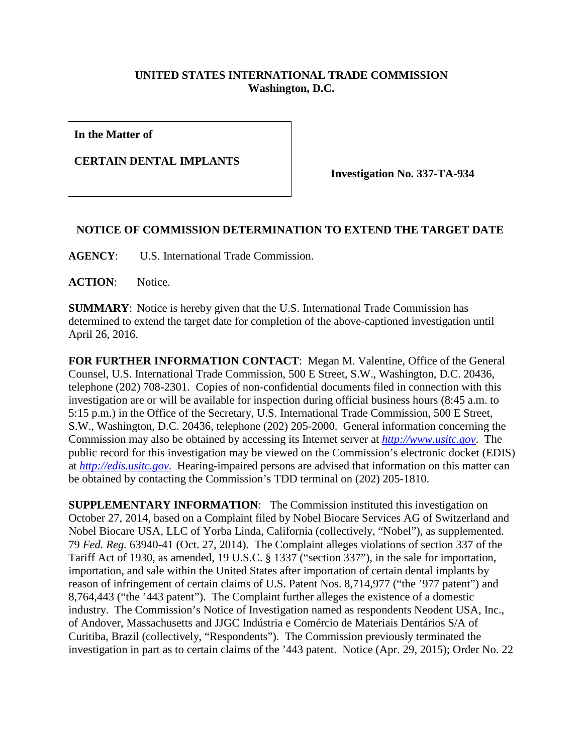## **UNITED STATES INTERNATIONAL TRADE COMMISSION Washington, D.C.**

**In the Matter of**

**CERTAIN DENTAL IMPLANTS**

**Investigation No. 337-TA-934**

## **NOTICE OF COMMISSION DETERMINATION TO EXTEND THE TARGET DATE**

**AGENCY**: U.S. International Trade Commission.

**ACTION**: Notice.

**SUMMARY**: Notice is hereby given that the U.S. International Trade Commission has determined to extend the target date for completion of the above-captioned investigation until April 26, 2016.

**FOR FURTHER INFORMATION CONTACT**: Megan M. Valentine, Office of the General Counsel, U.S. International Trade Commission, 500 E Street, S.W., Washington, D.C. 20436, telephone (202) 708-2301. Copies of non-confidential documents filed in connection with this investigation are or will be available for inspection during official business hours (8:45 a.m. to 5:15 p.m.) in the Office of the Secretary, U.S. International Trade Commission, 500 E Street, S.W., Washington, D.C. 20436, telephone (202) 205-2000. General information concerning the Commission may also be obtained by accessing its Internet server at *[http://www.usitc.gov](http://www.usitc.gov/)*. The public record for this investigation may be viewed on the Commission's electronic docket (EDIS) at *[http://edis.usitc.gov](http://edis.usitc.gov./)*. Hearing-impaired persons are advised that information on this matter can be obtained by contacting the Commission's TDD terminal on (202) 205-1810.

**SUPPLEMENTARY INFORMATION:** The Commission instituted this investigation on October 27, 2014, based on a Complaint filed by Nobel Biocare Services AG of Switzerland and Nobel Biocare USA, LLC of Yorba Linda, California (collectively, "Nobel"), as supplemented. 79 *Fed. Reg.* 63940-41 (Oct. 27, 2014). The Complaint alleges violations of section 337 of the Tariff Act of 1930, as amended, 19 U.S.C. § 1337 ("section 337"), in the sale for importation, importation, and sale within the United States after importation of certain dental implants by reason of infringement of certain claims of U.S. Patent Nos. 8,714,977 ("the '977 patent") and 8,764,443 ("the '443 patent"). The Complaint further alleges the existence of a domestic industry. The Commission's Notice of Investigation named as respondents Neodent USA, Inc., of Andover, Massachusetts and JJGC Indústria e Comércio de Materiais Dentários S/A of Curitiba, Brazil (collectively, "Respondents"). The Commission previously terminated the investigation in part as to certain claims of the '443 patent. Notice (Apr. 29, 2015); Order No. 22